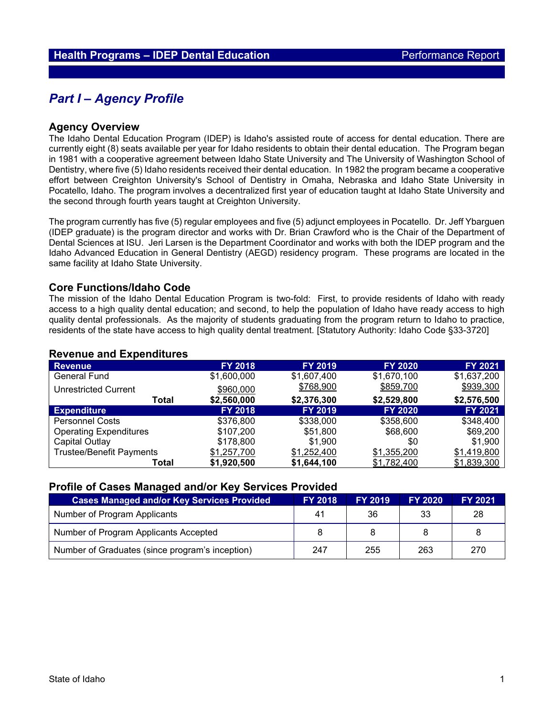# *Part I – Agency Profile*

#### **Agency Overview**

The Idaho Dental Education Program (IDEP) is Idaho's assisted route of access for dental education. There are currently eight (8) seats available per year for Idaho residents to obtain their dental education. The Program began in 1981 with a cooperative agreement between Idaho State University and The University of Washington School of Dentistry, where five (5) Idaho residents received their dental education. In 1982 the program became a cooperative effort between Creighton University's School of Dentistry in Omaha, Nebraska and Idaho State University in Pocatello, Idaho. The program involves a decentralized first year of education taught at Idaho State University and the second through fourth years taught at Creighton University.

The program currently has five (5) regular employees and five (5) adjunct employees in Pocatello. Dr. Jeff Ybarguen (IDEP graduate) is the program director and works with Dr. Brian Crawford who is the Chair of the Department of Dental Sciences at ISU. Jeri Larsen is the Department Coordinator and works with both the IDEP program and the Idaho Advanced Education in General Dentistry (AEGD) residency program. These programs are located in the same facility at Idaho State University.

#### **Core Functions/Idaho Code**

The mission of the Idaho Dental Education Program is two-fold: First, to provide residents of Idaho with ready access to a high quality dental education; and second, to help the population of Idaho have ready access to high quality dental professionals. As the majority of students graduating from the program return to Idaho to practice, residents of the state have access to high quality dental treatment. [Statutory Authority: Idaho Code §33-3720]

#### **Revenue FY 2018 FY 2019 FY 2020 FY 2021** General Fund \$1,600,000 \$1,607,400 \$1,670,100 \$1,637,200 Unrestricted Current  $\frac{$960,000}{22.560,000}$   $\frac{$768,900}{2.376,300}$   $\frac{$859,700}{2.529,800}$   $\frac{$2,576,500}{2.576,500}$ **Total \$2,560,000 \$2,376,300 \$2,529,800 \$2,576,500 Expenditure FY 2018 FY 2019 FY 2020 FY 2021** Personnel Costs \$376,800 \$338,000 \$358,600 \$348,400 Operating Expenditures  $$107,200$   $$51,800$   $$68,600$   $$69,200$ Capital Outlay \$178,800 \$1,900 \$0 \$1,900<br>Trustee/Benefit Payments <u>\$1,257,700</u> <u>\$1,252,40</u>0 \$1,355,200 \$1,419,800 Trustee/Benefit Payments <u>\$1,257,700</u> <u>\$1,252,400</u> <u>\$1,355,200</u> <u>\$1,419,800</u><br>**1,839,300 Total \$1,920,500 \$1,644,100** \$1,782,400 \$1,839,300 **Total \$1,920,500 \$1,644,100** \$1,782,400 \$1,839,300

#### **Revenue and Expenditures**

#### **Profile of Cases Managed and/or Key Services Provided**

| <b>Cases Managed and/or Key Services Provided</b> | <b>FY 2018</b> | <b>FY 2019</b> | <b>FY 2020</b> | <b>FY 2021</b> |
|---------------------------------------------------|----------------|----------------|----------------|----------------|
| Number of Program Applicants                      | 41             | 36             | 33             | 28             |
| Number of Program Applicants Accepted             |                |                |                | 8              |
| Number of Graduates (since program's inception)   | 247            | 255            | 263            | 270            |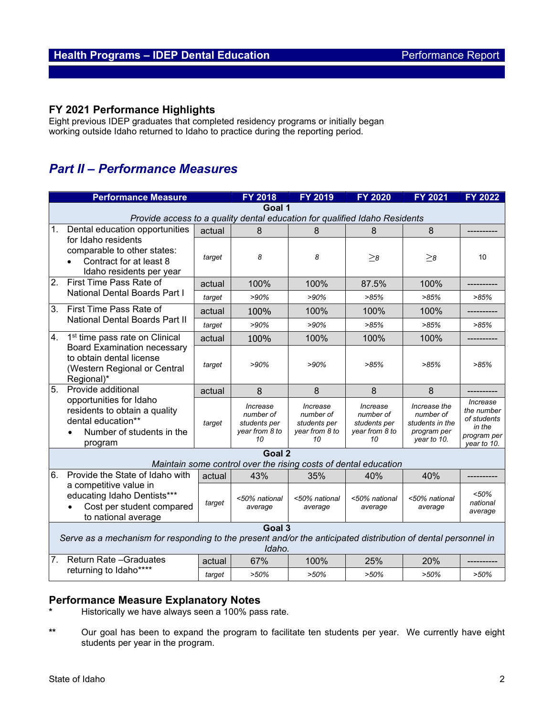## **FY 2021 Performance Highlights**

Eight previous IDEP graduates that completed residency programs or initially began working outside Idaho returned to Idaho to practice during the reporting period.

# *Part II – Performance Measures*

|                                                                                                                         | <b>Performance Measure</b>                                                                                             |        | <b>FY 2018</b>                                                  | <b>FY 2019</b>                                                | <b>FY 2020</b>                                                | <b>FY 2021</b>                                                             | <b>FY 2022</b>                                                                |  |  |  |  |
|-------------------------------------------------------------------------------------------------------------------------|------------------------------------------------------------------------------------------------------------------------|--------|-----------------------------------------------------------------|---------------------------------------------------------------|---------------------------------------------------------------|----------------------------------------------------------------------------|-------------------------------------------------------------------------------|--|--|--|--|
| Goal 1                                                                                                                  |                                                                                                                        |        |                                                                 |                                                               |                                                               |                                                                            |                                                                               |  |  |  |  |
|                                                                                                                         | Provide access to a quality dental education for qualified Idaho Residents                                             |        |                                                                 |                                                               |                                                               |                                                                            |                                                                               |  |  |  |  |
| 1.                                                                                                                      | Dental education opportunities                                                                                         | actual | 8                                                               | 8                                                             | 8                                                             | 8                                                                          |                                                                               |  |  |  |  |
|                                                                                                                         | for Idaho residents<br>comparable to other states:<br>Contract for at least 8<br>Idaho residents per year              | target | 8                                                               | 8                                                             | $>_8$                                                         | $>_8$                                                                      | 10                                                                            |  |  |  |  |
| 2.                                                                                                                      | First Time Pass Rate of<br><b>National Dental Boards Part I</b>                                                        | actual | 100%                                                            | 100%                                                          | 87.5%                                                         | 100%                                                                       |                                                                               |  |  |  |  |
|                                                                                                                         |                                                                                                                        | target | >90%                                                            | >90%                                                          | >85%                                                          | >85%                                                                       | >85%                                                                          |  |  |  |  |
| 3 <sub>1</sub>                                                                                                          | First Time Pass Rate of<br>National Dental Boards Part II                                                              | actual | 100%                                                            | 100%                                                          | 100%                                                          | 100%                                                                       |                                                                               |  |  |  |  |
|                                                                                                                         |                                                                                                                        | target | >90%                                                            | >90%                                                          | >85%                                                          | >85%                                                                       | >85%                                                                          |  |  |  |  |
| 4.                                                                                                                      | 1 <sup>st</sup> time pass rate on Clinical                                                                             | actual | 100%                                                            | 100%                                                          | 100%                                                          | 100%                                                                       |                                                                               |  |  |  |  |
|                                                                                                                         | <b>Board Examination necessary</b><br>to obtain dental license<br>(Western Regional or Central<br>Regional)*           | target | >90%                                                            | $>90\%$                                                       | >85%                                                          | >85%                                                                       | >85%                                                                          |  |  |  |  |
| 5.                                                                                                                      | Provide additional                                                                                                     | actual | 8                                                               | 8                                                             | 8                                                             | 8                                                                          |                                                                               |  |  |  |  |
|                                                                                                                         | opportunities for Idaho<br>residents to obtain a quality<br>dental education**<br>Number of students in the<br>program | target | Increase<br>number of<br>students per<br>year from 8 to<br>10   | Increase<br>number of<br>students per<br>year from 8 to<br>10 | Increase<br>number of<br>students per<br>year from 8 to<br>10 | Increase the<br>number of<br>students in the<br>program per<br>year to 10. | Increase<br>the number<br>of students<br>in the<br>program per<br>year to 10. |  |  |  |  |
|                                                                                                                         |                                                                                                                        |        | Goal 2                                                          |                                                               |                                                               |                                                                            |                                                                               |  |  |  |  |
|                                                                                                                         |                                                                                                                        |        | Maintain some control over the rising costs of dental education |                                                               |                                                               |                                                                            |                                                                               |  |  |  |  |
| 6.                                                                                                                      | Provide the State of Idaho with                                                                                        | actual | 43%                                                             | 35%                                                           | 40%                                                           | 40%                                                                        |                                                                               |  |  |  |  |
|                                                                                                                         | a competitive value in<br>educating Idaho Dentists***<br>Cost per student compared<br>to national average              | target | <50% national<br>average                                        | <50% national<br>average                                      | <50% national<br>average                                      | <50% national<br>average                                                   | < 50%<br>national<br>average                                                  |  |  |  |  |
|                                                                                                                         | Goal 3                                                                                                                 |        |                                                                 |                                                               |                                                               |                                                                            |                                                                               |  |  |  |  |
| Serve as a mechanism for responding to the present and/or the anticipated distribution of dental personnel in<br>Idaho. |                                                                                                                        |        |                                                                 |                                                               |                                                               |                                                                            |                                                                               |  |  |  |  |
| 7 <sub>1</sub><br><b>Return Rate - Graduates</b><br>returning to Idaho****                                              |                                                                                                                        | actual | 67%                                                             | 100%                                                          | 25%                                                           | 20%                                                                        |                                                                               |  |  |  |  |
|                                                                                                                         | target                                                                                                                 | >50%   | $>50\%$                                                         | $>50\%$                                                       | >50%                                                          | $>50\%$                                                                    |                                                                               |  |  |  |  |

# **Performance Measure Explanatory Notes**

- **\*** Historically we have always seen a 100% pass rate.
- **\*\*** Our goal has been to expand the program to facilitate ten students per year. We currently have eight students per year in the program.